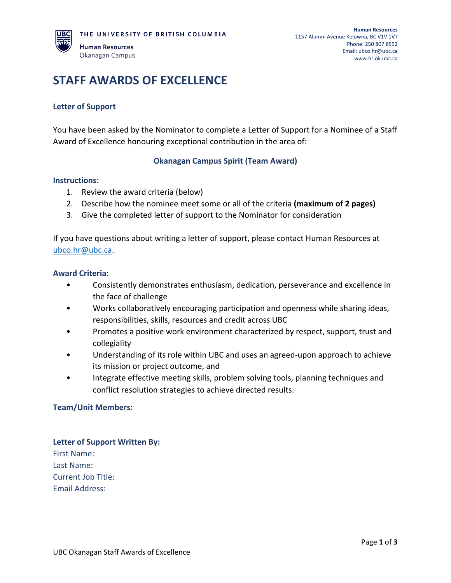# **STAFF AWARDS OF EXCELLENCE**

## **Letter of Support**

You have been asked by the Nominator to complete a Letter of Support for a Nominee of a Staff Award of Excellence honouring exceptional contribution in the area of:

### **Okanagan Campus Spirit (Team Award)**

#### **Instructions:**

- 1. Review the award criteria (below)
- 2. Describe how the nominee meet some or all of the criteria **(maximum of 2 pages)**
- 3. Give the completed letter of support to the Nominator for consideration

If you have questions about writing a letter of support, please contact Human Resources at [ubco.hr@ubc.ca.](mailto:ubco.hr@ubc.ca)

#### **Award Criteria:**

- Consistently demonstrates enthusiasm, dedication, perseverance and excellence in the face of challenge
- Works collaboratively encouraging participation and openness while sharing ideas, responsibilities, skills, resources and credit across UBC
- Promotes a positive work environment characterized by respect, support, trust and collegiality
- Understanding of its role within UBC and uses an agreed-upon approach to achieve its mission or project outcome, and
- Integrate effective meeting skills, problem solving tools, planning techniques and conflict resolution strategies to achieve directed results.

#### **Team/Unit Members:**

**Letter of Support Written By:** First Name: Last Name: Current Job Title: Email Address: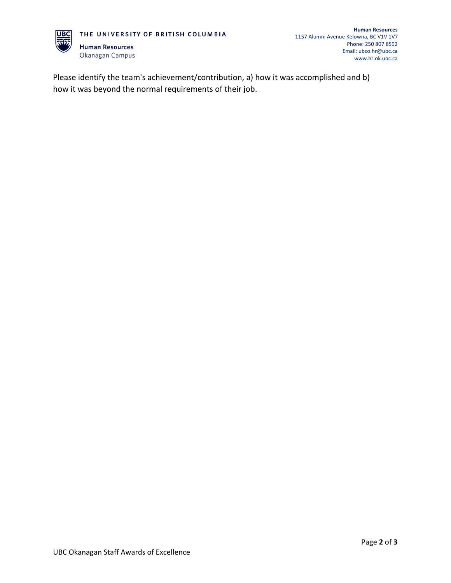

Please identify the team's achievement/contribution, a) how it was accomplished and b) how it was beyond the normal requirements of their job.